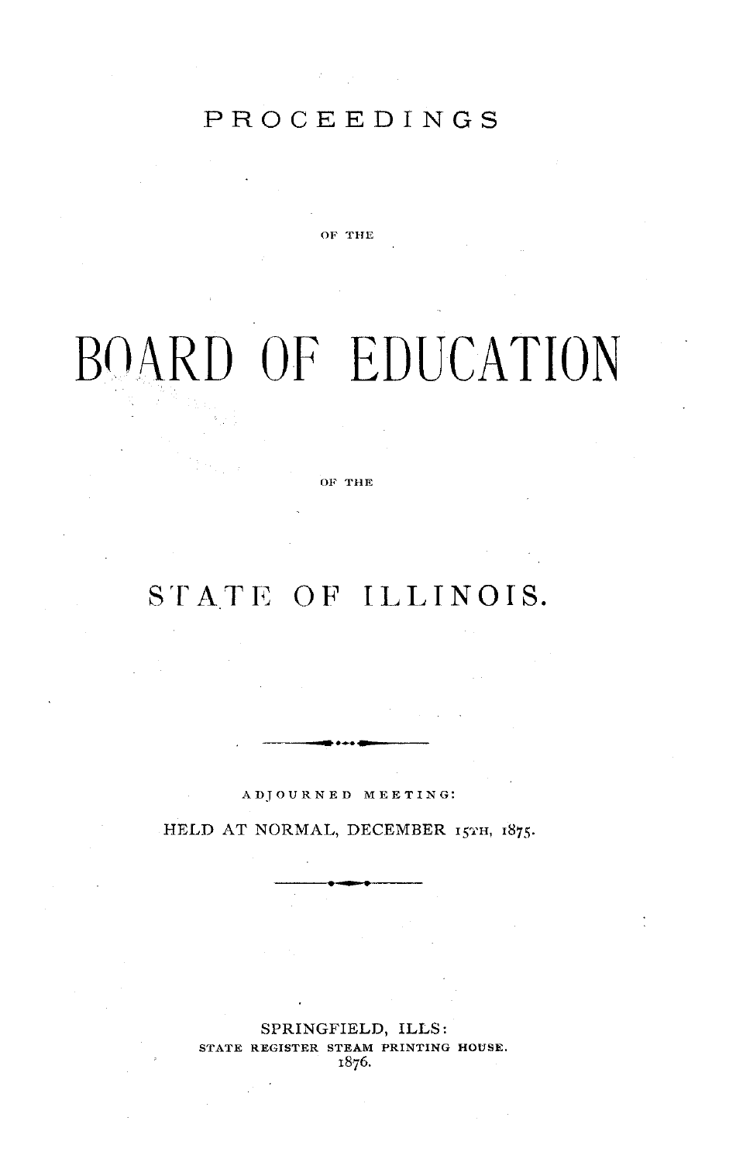## PROCEEDINGS

OF THE

# BOARD OF EDUCATION

OF **THE**

## STATE OF ILLINOIS.

ADJOURNED MEETING:

HELD AT NORMAL, DECEMBER 15TH, 1875.

SPRINGFIELD, ILLS: STATE REGISTER STEAM PRINTING HOUSE. 1876.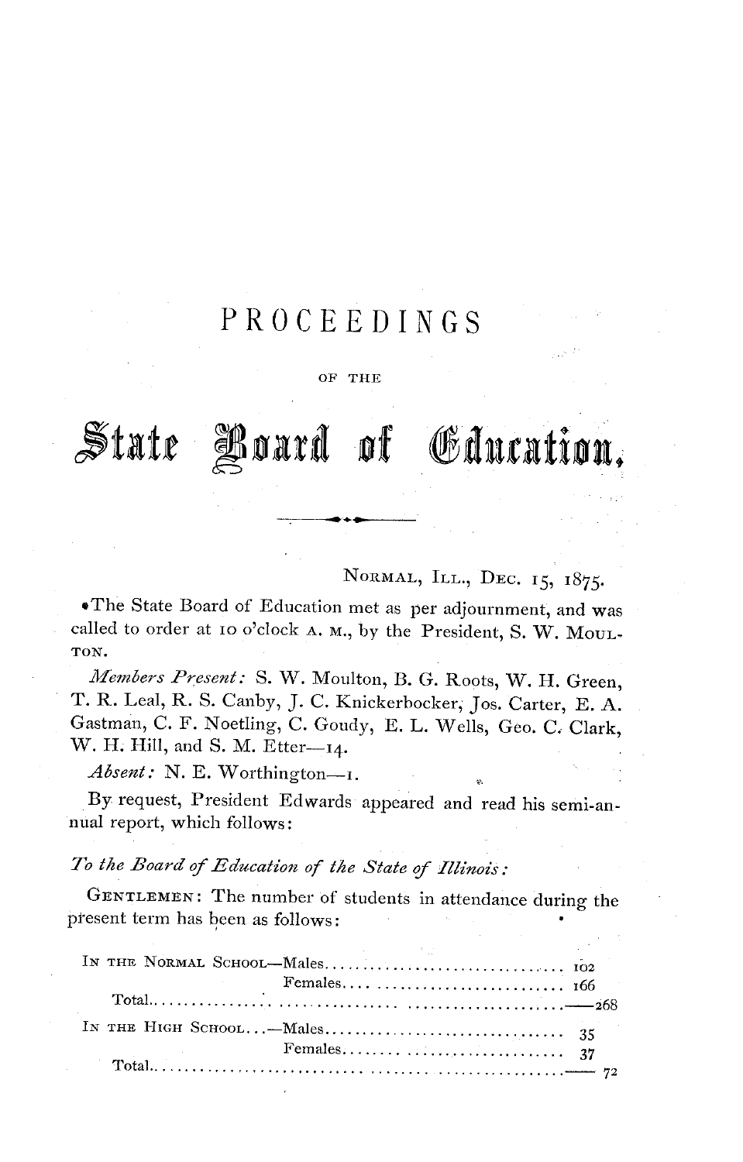## PROCEEDINGS

## OF THE

## State Board of Gducation,

NORMAL, ILL., DEC. 15, 1875.

eThe State Board of Education met as per adjournment, and was called to order at 10 o'clock A. M., by the President, S. W. MouL-TON.

*Jliembers Present:* S. W. Moulton, B. G. Roots, W. H. Green, T. R. Leal, R. S. Canby, J. C. Knickerbocker, Jos. Carter, E. A. Gastman, C. F. Noetling, C. Goudy, E. L. Wells, Geo. C. Clark, W. H. Hill, and S. M. Etter--14.

Absent: N. E. Worthington-I.

By request, President Edwards appeared and read his semi-annual report, which follows:

## *To the Board of Education of the State of Illinois:*

GENTLEMEN: The number of students in attendance during the present term has been as follows: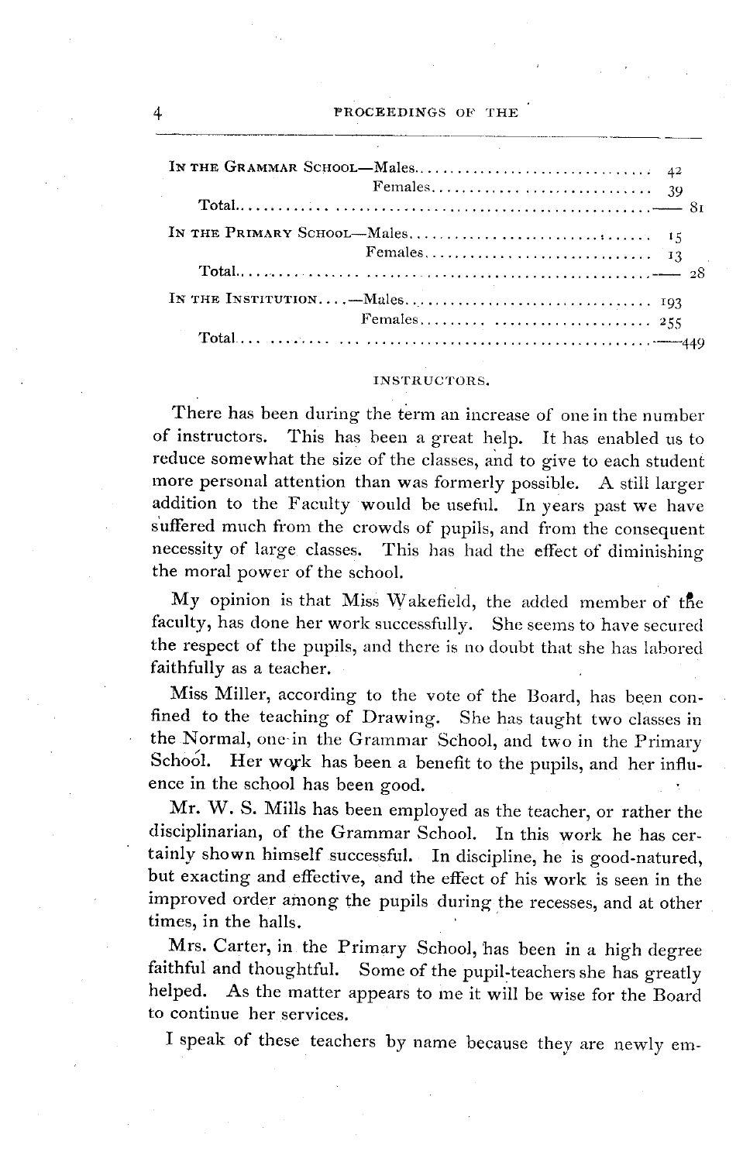#### **INSTRUCTORS.**

There has been during the term an increase of one in the number of instructors. This has been a great help. It has enabled us to reduce somewhat the size of the classes, and to give to each student more personal attention than was formerly possible. A still larger addition to the Faculty would be useful. In years past we have suffered much from the crowds of pupils, and from the consequent necessity of large classes. This has had the effect of diminishing the moral power of the school.

My opinion is that Miss Wakefield, the added member of the faculty, has done her work successfully. She seems to have secured the respect of the pupils, and there is no doubt that she has labored faithfully as a teacher.

Miss Miller, according to the vote of the Board, has been confined to the teaching of Drawing. She has taught two classes in the Normal, one in the Grammar School, and two in the Primary School. Her work has been a benefit to the pupils, and her influence in the school has been good.

Mr. W. S. Mills has been employed as the teacher, or rather the disciplinarian, of the Grammar School. In this work he has certainly shown himself successful. In discipline, he is good-natured, but exacting and effective, and the effect of his work is seen in the improved order among the pupils during the recesses, and at other times, in the halls.

Mrs. Carter, in the Primary School, has been in a high degree faithful and thoughtful. Some of the pupil-teachers she has greatly helped. As the matter appears to me it will be wise for the Board to continue her services.

I speak of these teachers by name because they are newly em-

4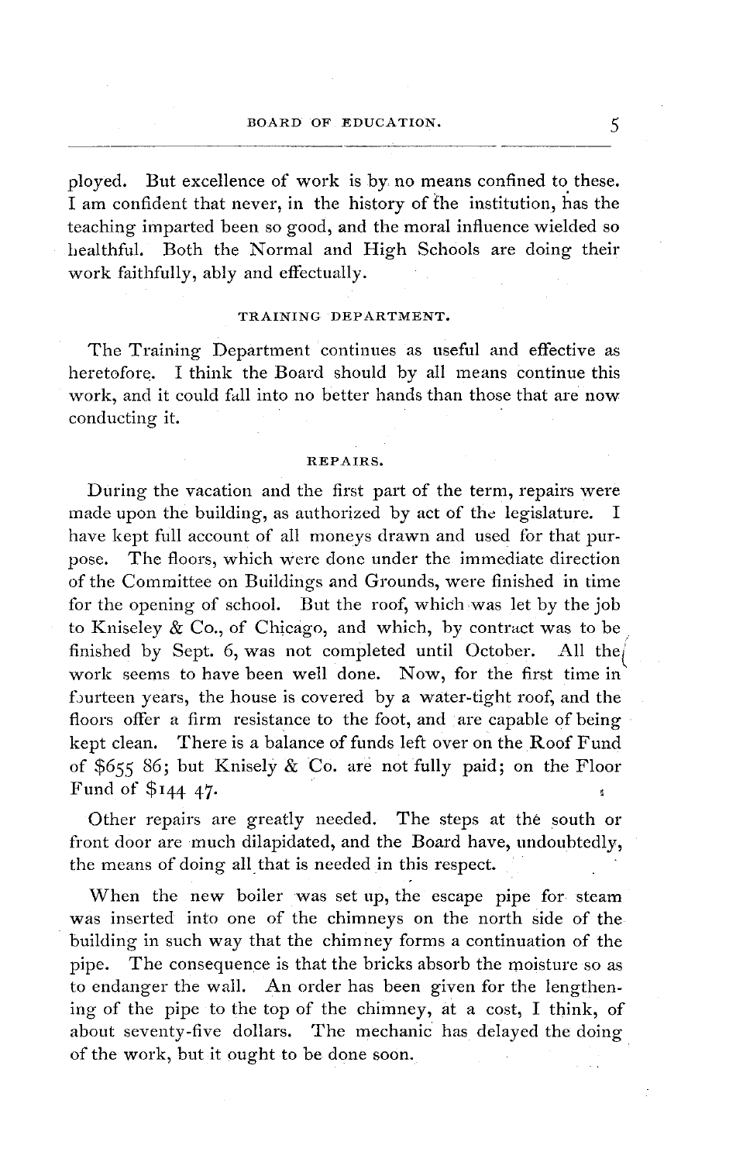## BOARD OF EDUCATION.

ployed. But excellence of work is by no means confined to these. I am confident that never, in the history of the institution, has the teaching imparted been so good, and the moral influence wielded so healthful. Both the Normal and High Schools are doing their work faithfully, ably and effectually.

## TRAINING DEPARTMENT.

The Training Department continues as useful and effective as heretofore. I think the Board should by all means continue this work, and it could fall into no better hands than those that are now conducting it.

#### **REPAIRS.**

During the vacation and the first part of the term, repairs were made upon the building, as authorized by act of the legislature. I have kept full account of all moneys drawn and used for that purpose. The floors, which were done under the immediate direction of the Committee on Buildings and Grounds, were finished in time for the opening of school. But the roof, which was let by the job to Kniseley & Co., of Chicago, and which, by contract was to be finished by Sept. 6, was not completed until October. All the work seems to have been well done. Now, for the first time in fourteen years, the house is covered by a water-tight roof, and the floors offer a firm resistance to the foot, and are capable of being kept clean. There is a balance of funds left over on the Roof Fund of \$655 86; but Knisely  $\&$  Co. are not fully paid; on the Floor Fund of \$I44 *47.*

Other repairs are greatly needed. The steps at the south or front door are much dilapidated, and the Board have, undoubtedly, the means of doing all that is needed in this respect.

When the new boiler was set up, the escape pipe for steam was inserted into one of the chimneys on the north side of the building in such way that the chimney forms a continuation of the pipe. The consequence is that the bricks absorb the moisture so as to endanger the wall. An order has been given for the lengthening of the pipe to the top of the chimney, at a cost, I think, of about seventy-five dollars. The mechanic has delayed the doing of the work, but it ought to be done soon.

5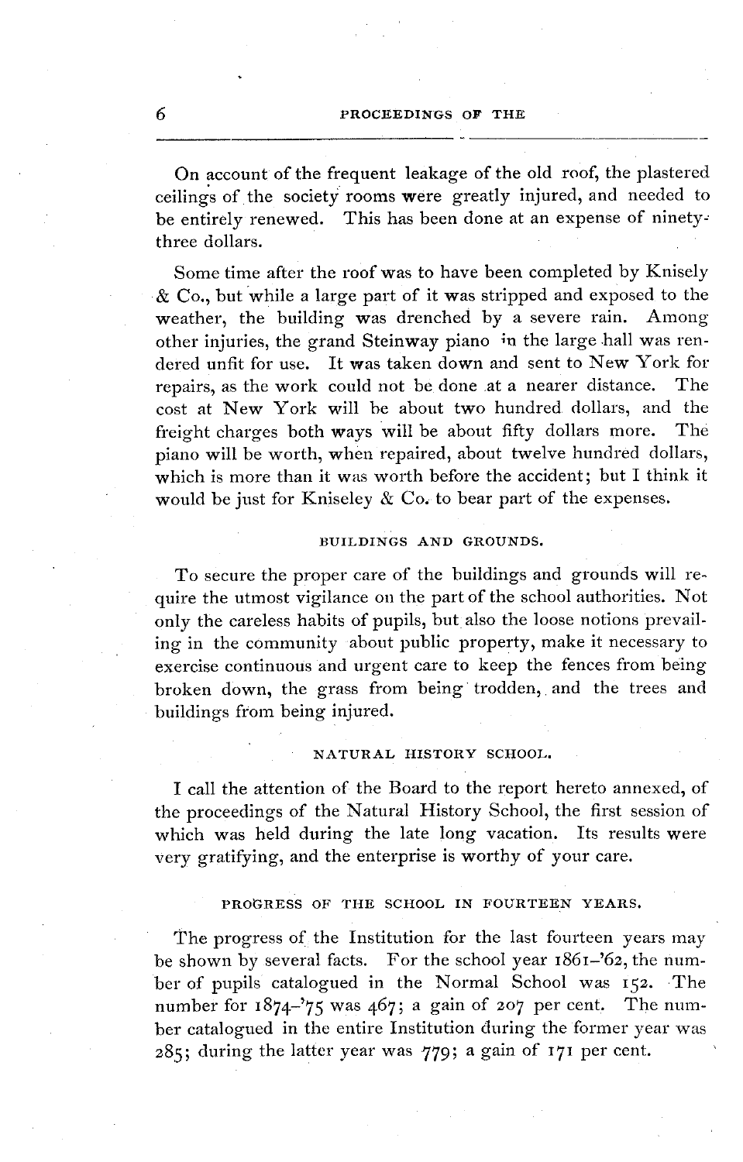On account of the frequent leakage of the old roof, the plastered ceilings of the society rooms were greatly injured, and needed to be entirely renewed. This has been done at an expense of ninetythree dollars.

Some time after the roof was to have been completed by Knisely & Co., but while a large part of it was stripped and exposed to the weather, the building was drenched by a severe rain. Among other injuries, the grand Steinway piano in the large hall was rendered unfit for use. It was taken down and sent to New York for repairs, as the work could not be done at a nearer distance. The cost at New York will be about two hundred dollars, and the freight charges both ways will be about fifty dollars more. The piano will be worth, when repaired, about twelve hundred dollars, which is more than it was worth before the accident; but I think it would be just for Kniseley  $\&$  Co. to bear part of the expenses.

## BUILDINGS AND GROUNDS.

To secure the proper care of the buildings and grounds will require the utmost vigilance on the part of the school authorities. Not only the careless habits of pupils, but also the loose notions prevailing in the community about public property, make it necessary to exercise continuous and urgent care to keep the fences from being broken down, the grass from being trodden, and the trees and buildings from being injured.

## NATURAL HISTORY SCHOOL.

I call the attention of the Board to the report hereto annexed, of the proceedings of the Natural History School, the first session of which was held during the late long vacation. Its results were very gratifying, and the enterprise is worthy of your care.

## PROGRESS **OF THE** SCHOOL **IN** FOURTEEN YEARS.

The progress of the Institution for the last fourteen years may be shown by several facts. For the school year 1861-'62, the number of pupils catalogued in the Normal School was 152. The number for 1874-'75 was 467; a gain of 207 per cent. The number catalogued in the entire Institution during the former year was 285; during the latter year was 779; a gain of 171 per cent.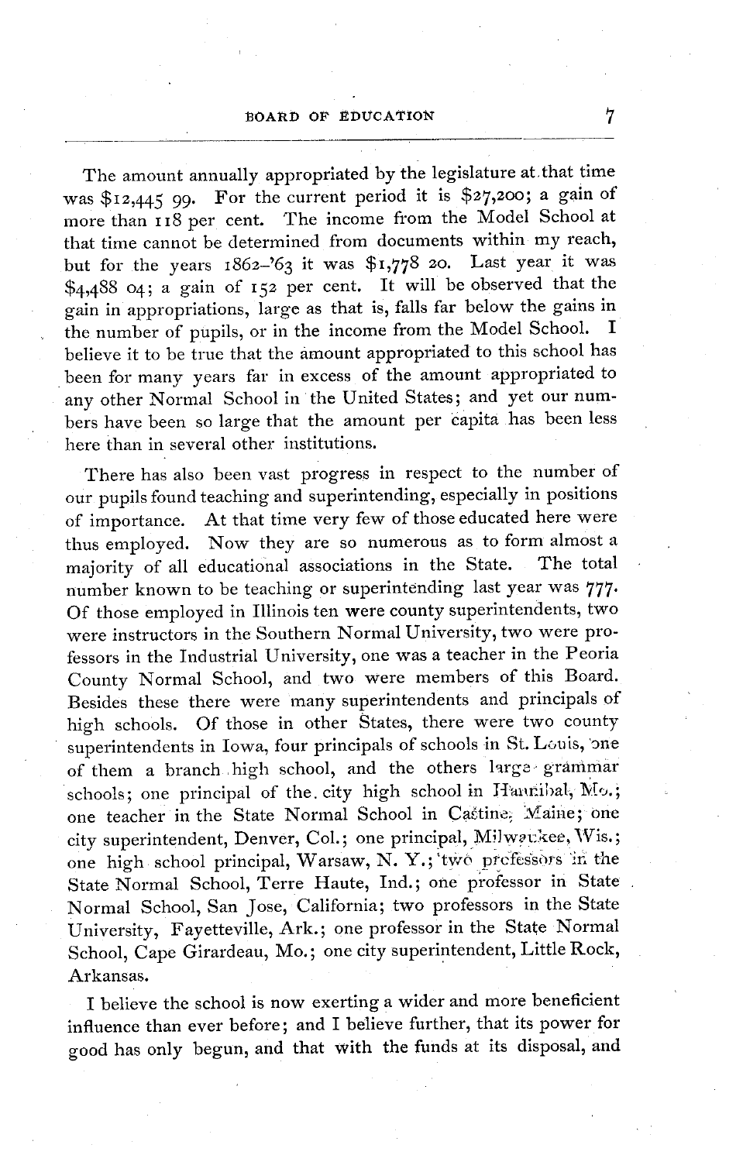## BOARD OF EDUCATION 7

The amount annually appropriated by the legislature at.that time was \$I2,445 99. For the current period it is \$27,200; a gain of more than 18 per cent. The income from the Model School at that time cannot be determined from documents within my reach, but for the years  $1862-63$  it was \$1,778 20. Last year it was \$4,488 04; a gain of I52 per cent. It will be observed that the gain in appropriations, large as that is, falls far below the gains in the number of pupils, or in the income from the Model School. believe it to be true that the amount appropriated to this school has been for many years far in excess of the amount appropriated to any other Normal School in the United States; and yet our numbers have been so large that the amount per capita has been less here than in several other institutions.

There has also been vast progress in respect to the number of our pupils found teaching and superintending, especially in positions of importance. At that time very few of those educated here were thus employed. Now they are so numerous as to form almost a majority of all educational associations in the State. The total majority of all educational associations in the State. number known to be teaching or superintending last year was 777. Of those employed in Illinois ten were county superintendents, two were instructors in the Southern Normal University, two were professors in the Industrial University, one was a teacher in the Peoria County Normal School, and two were members of this Board. Besides these there were many superintendents and principals of high schools. Of those in other States, there were two county superintendents in Iowa, four principals of schools in St. Louis, one of them a branch high school, and the others large grammar schools; one principal of the city high school in Hanribal, Mo.; one teacher in the State Normal School in Castine; Maine; one city superintendent, Denver, Col.; one principal, Milwackee, Wis.; one high school principal, Warsaw, N. Y.; two prefessors in the State Normal School, Terre Haute, Ind.; one professor in State Normal School, San Jose, California; two professors in the State University, Fayetteville, Ark.; one professor in the State Normal School, Cape Girardeau, Mo.; one city superintendent, Little Rock, Arkansas.

I believe the school is now exerting a wider and more beneficient influence than ever before; and I believe further, that its power for good has only begun, and that with the funds at its disposal, and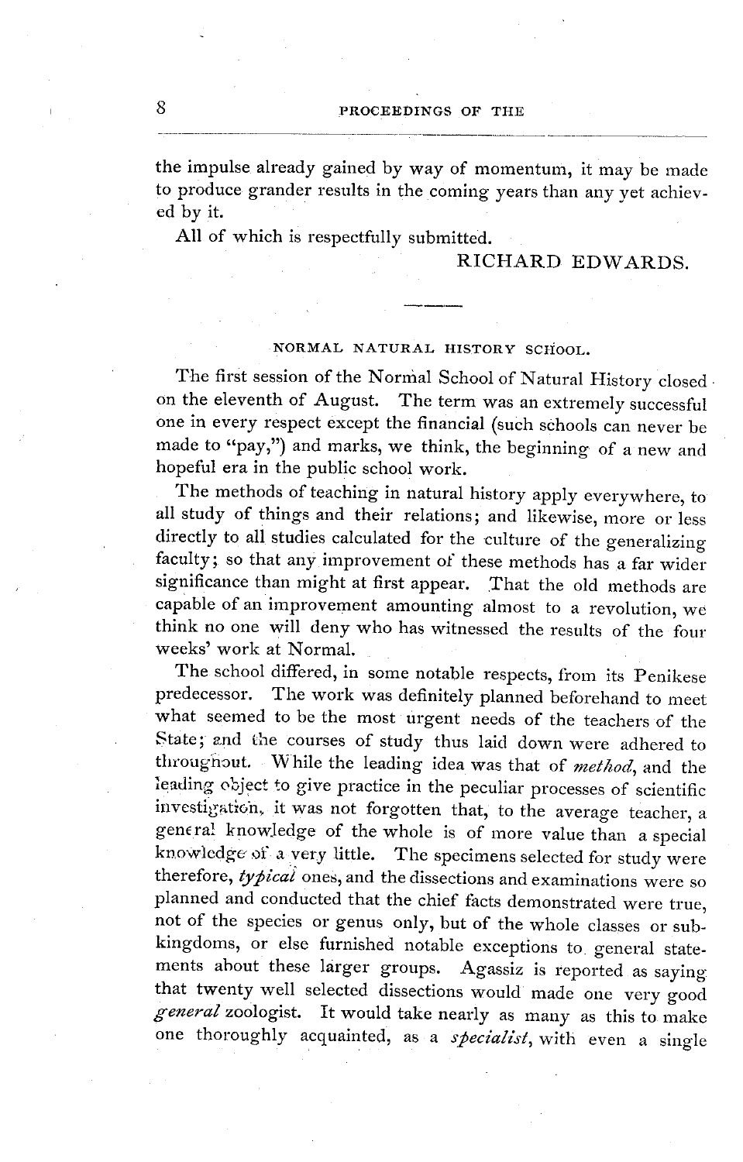the impulse already gained by way of momentum, it may be made to produce grander results in the coming years than any yet achieved by it.

All of which is respectfully submitted.

## RICHARD EDWARDS.

## **NORMAL NATURAL HISTORY SCHOOL.**

The first session of the Normal School of Natural History closed on the eleventh of August. The term was an extremely successful one in every respect except the financial (such schools can never be made to "pay,") and marks, we think, the beginning of a new and hopeful era in the public school work.

The methods of teaching in natural history apply everywhere, to all study of things and their relations; and likewise, more or less directly to all studies calculated for the culture of the generalizing faculty; so that any improvement of these methods has a far wider significance than might at first appear. That the old methods are capable of an improvement amounting almost to a revolution, we think no one will deny who has witnessed the results of the four weeks' work at Normal.

The school differed, in some notable respects, from its Penikese predecessor. The work was definitely planned beforehand to meet what seemed to be the most urgent needs of the teachers of the State; and the courses of study thus laid down were adhered to throughout. While the leading idea was that of *metocd,* and the leading object to give practice in the peculiar processes of scientific investigat'oh, it was not forgotten that, to the average teacher, a genera! knowledge of the whole is of more value than a special knowledge of a very little. The specimens selected for study were therefore, typical ones, and the dissections and examinations were so planned and conducted that the chief facts demonstrated were true, not of the species or genus only, but of the whole classes or subkingdoms, or else furnished notable exceptions to general statements about these larger groups. Agassiz is reported as saying that twenty well selected dissections would made one very good general zoologist. It would take nearly as many as this to make one thoroughly acquainted, as a *specialist,* with even a single

8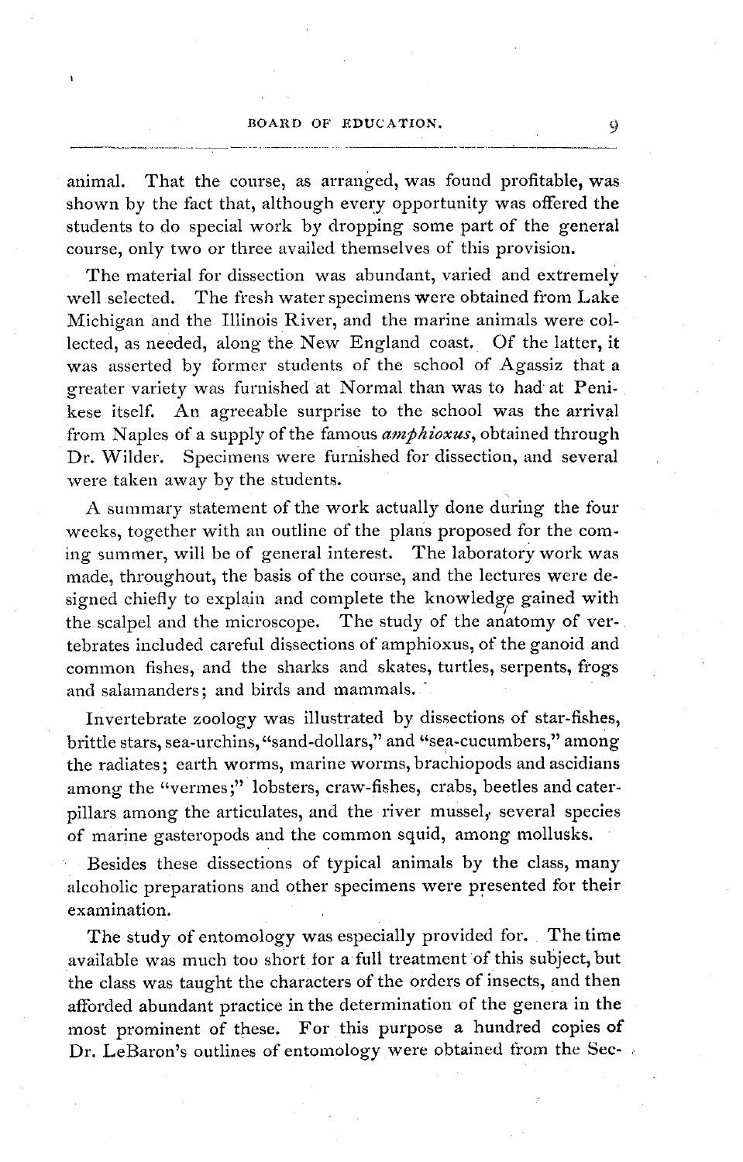## BOARD OF EDUCATION. 9

animal. That the course, as arranged, was found profitable, was shown by the fact that, although every opportunity was offered the students to do special work by dropping some part of the general course, only two or three availed themselves of this provision.

The material for dissection was abundant, varied and extremely well selected. The fresh water specimens were obtained from Lake Michigan and the Illinois River, and the marine animals were collected, as needed, along the New England coast. Of the latter, it was asserted by former students of the school of Agassiz that a greater variety was furnished at Normal than was to had at Penikese itself. An agreeable surprise to the school was the arrival from Naples of a supply of the famous *amphioxus,* obtained through Dr. Wilder. Specimens were furnished for dissection, and several were taken away by the students.

A summary statement of the work actually done during the four weeks, together with an outline of the plans proposed for the coming summer, will be of general interest. The laboratory work was made, throughout, the basis of the course, and the lectures were designed chiefly to explain and complete the knowledge gained with the scalpel and the microscope. The study of the anatomy of vertebrates included careful dissections of amphioxus, of the ganoid and common fishes, and the sharks and skates, turtles, serpents, frogs and salamanders; and birds and mammals.

Invertebrate zoology was illustrated by dissections of star-fishes, brittle stars, sea-urchins, "sand-dollars," and "sea-cucumbers," among the radiates; earth worms, marine worms, brachiopods and ascidians among the "vermes;" lobsters, craw-fishes, crabs, beetles and caterpillars among the articulates, and the river mussel, several species of marine gasteropods and the common squid, among mollusks.

Besides these dissections of typical animals by the class, many alcoholic preparations and other specimens were presented for their examination.

The study of entomology was especially provided for. The time available was much too short for a full treatment of this subject, but the class was taught the characters of the orders of insects, and then afforded abundant practice in the determination of the genera in the most prominent of these. For this purpose a hundred copies of Dr. LeBaron's outlines of entomology were obtained from the Sec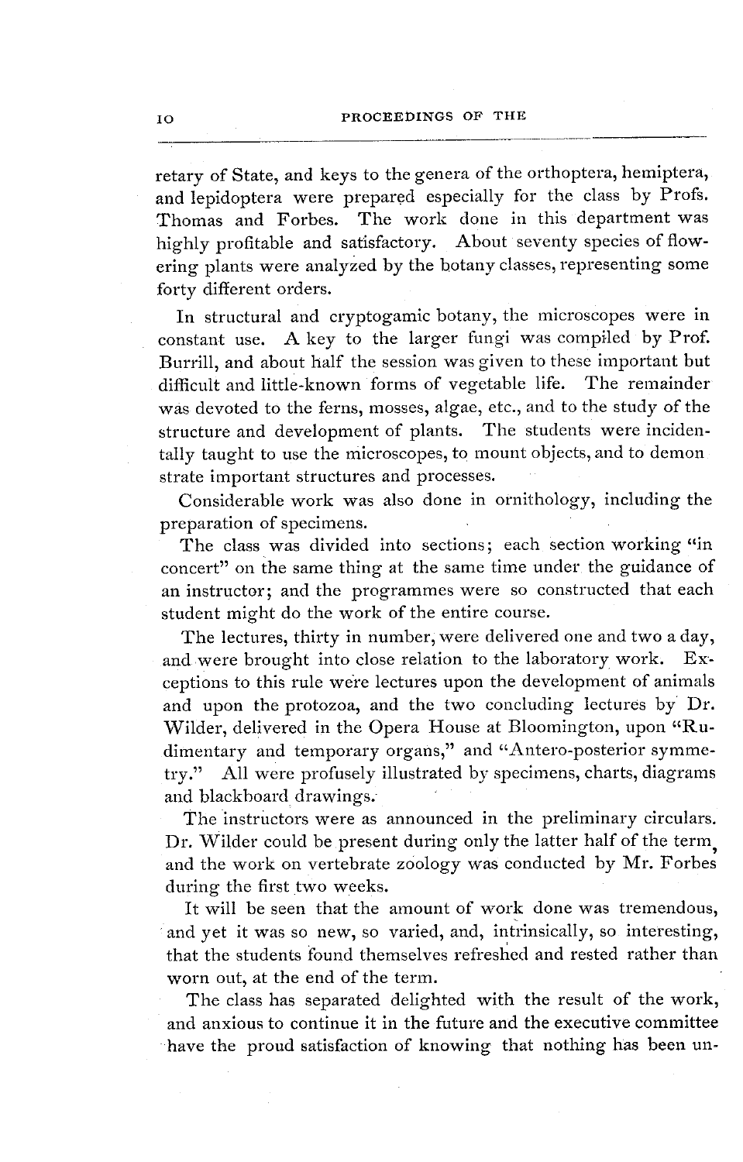retary of State, and keys to the genera of the orthoptera, hemiptera, and lepidoptera were prepared especially for the class by Profs. Thomas and Forbes. The work done in this department was highly profitable and satisfactory. About seventy species of flowering plants were analyzed by the botany classes, representing some forty different orders.

In structural and cryptogamic botany, the microscopes were in constant use. A key to the larger fungi was compiled by Prof. Burrill, and about half the session was given to these important but difficult and little-known forms of vegetable life. The remainder was devoted to the ferns, mosses, algae, etc., and to the study of the structure and development of plants. The students were incidentally taught to use the microscopes, to mount objects, and to demon strate important structures and processes.

Considerable work was also done in ornithology, including the preparation of specimens.

The class was divided into sections; each section working "in concert" on the same thing at the same time under the guidance of an instructor; and the programmes were so constructed that each student might do the work of the entire course.

The lectures, thirty in number, were delivered one and two a day, and were brought into close relation to the laboratory work. Exceptions to this rule we're lectures upon the development of animals and upon the protozoa, and the two concluding lectures by Dr. Wilder, delivered in the Opera House at Bloomington, upon "Rudimentary and temporary organs," and "Antero-posterior symmetry." All were profusely illustrated by specimens, charts, diagrams and blackboard drawings.

The instructors were as announced in the preliminary circulars. Dr. Wilder could be present during only the latter half of the term and the work on vertebrate zoology was conducted by Mr. Forbes during the first two weeks.

It will be seen that the amount of work done was tremendous, and yet it was so new, so varied, and, intrinsically, so interesting, that the students found themselves refreshed and rested rather than worn out, at the end of the term.

The class has separated delighted with the result of the work, and anxious to continue it in the future and the executive committee have the proud satisfaction of knowing that nothing has been un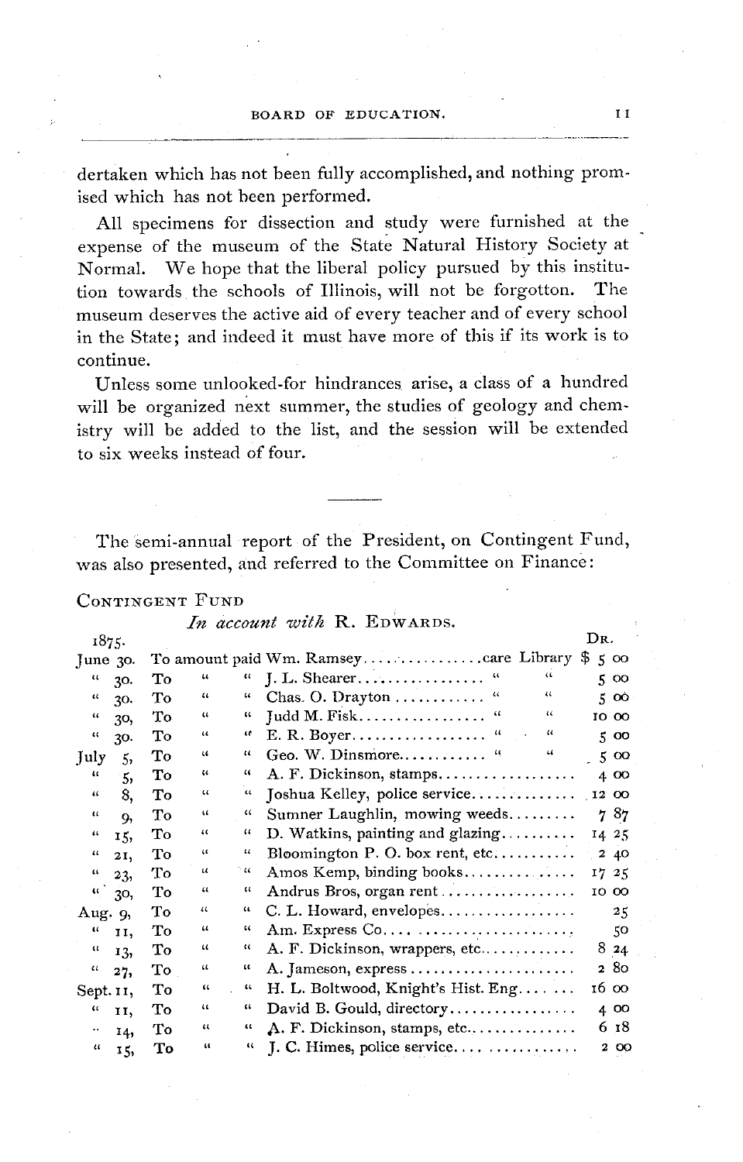dertaken which has not been fully accomplished, and nothing promised which has not been performed.

All specimens for dissection and study were furnished at the expense of the museum of the State Natural History Society at Normal. We hope that the liberal policy pursued by this institution towards the schools of Illinois, will not be forgotton. The museum deserves the active aid of every teacher and of every school in the State; and indeed it must have more of this if its work is to continue.

Unless some unlooked-for hindrances arise, a class of a hundred will be organized next summer, the studies of geology and chemistry will be added to the list, and the session will be extended to six weeks instead of four.

The semi-annual report of the President, on Contingent Fund, was also presented, and referred to the Committee on Finance:

## CONTINGENT FUND

|  |  |  | In account with R. EDWARDS. |
|--|--|--|-----------------------------|
|--|--|--|-----------------------------|

| 1875.                |                 |    |                             |                    |                                                                               | IJR. |       |
|----------------------|-----------------|----|-----------------------------|--------------------|-------------------------------------------------------------------------------|------|-------|
| $\lceil$ une 30.     |                 |    |                             |                    | To amount paid Wm. Ramseycare Library \$                                      |      | 500   |
| $\mathcal{U}$        | 30.             | Tо | $\mathbf{u}$                | $\mathfrak{c}$     | 44                                                                            |      | 500   |
| $\epsilon$           | 30.             | То | $\epsilon\epsilon$          | $\epsilon$         | $\iota\iota$<br>Chas. O. Drayton $\dots\dots\dots\dots$<br>$\boldsymbol{\mu}$ |      | 500   |
| $\ddot{\phantom{a}}$ | 30,             | Tо | $\mathfrak{c}\mathfrak{c}$  | $\iota\iota$       | 44<br>46                                                                      |      | 10 00 |
| $\mathfrak{c}$       | 30.             | Τо | $\ddot{\phantom{a}}$        | u                  | $\pmb{\mathcal{U}}$                                                           |      | 500   |
| July                 | 5,              | Tо | $\mathfrak{c}\mathfrak{c}$  | $\mathfrak{c}$     | $\mathfrak{c}\mathfrak{c}$<br>Geo. W. Dinsmore                                |      | 500   |
| 46                   | 5,              | To | $\ddot{\phantom{0}}$        | 44                 | A. F. Dickinson, stamps                                                       |      | 4 00  |
| $\epsilon\epsilon$   | 8,              | To | 34                          | $\epsilon\epsilon$ | $\mathsf{Toshua}$ Kelley, police service                                      |      | 12 00 |
| $\mathfrak{c}$       | 9,              | Тo | $\mathfrak{c}\mathfrak{c}$  | $\epsilon$         | Sumner Laughlin, mowing weeds                                                 |      | 787   |
| $\pmb{\epsilon}$     | 15,             | То | $\mathfrak{c}$              | и                  | D. Watkins, painting and glazing                                              |      | 14 25 |
| $\iota\iota$         | 21,             | Тo | $\epsilon$                  | $\iota\iota$       | Bloomington P. O. box rent, etc                                               |      | 2 40  |
| $\boldsymbol{\mu}$   | 23,             | Tо | $\boldsymbol{\mathcal{U}}$  | $\sim$ 40          | Amos Kemp, binding books                                                      |      | 17 25 |
|                      | $\frac{1}{3}$ , | Tо | $\epsilon$                  | ш                  | Andrus Bros, organ rent                                                       |      | 10 00 |
| Aug. 9,              |                 | Тo | 11                          | 46                 | $C. L.$ Howard, envelopes                                                     |      | 25    |
| $\mathbf{u}$         | II,             | Tо | $\mathcal{U}$               | 44                 | Am. Express Co                                                                |      | 50    |
| $\mathfrak{c}$       | 13,             | Tо | $\boldsymbol{\mathfrak{c}}$ | и                  | A. F. Dickinson, wrappers, etc                                                |      | 824   |
| 46                   | 27,             | To | 11                          | ш                  | A. Jameson, express                                                           |      | 280   |
| Sept. II,            |                 | Tо | $\alpha$                    | ш                  | H. L. Boltwood, Knight's Hist. Eng                                            |      | 16 00 |
| $\epsilon$           | 11,             | То | $\epsilon$                  | $\boldsymbol{\mu}$ | David B. Gould, directory                                                     |      | 400   |
| $\ddot{\phantom{0}}$ | 14,             | Tо | $\alpha$                    | 44                 | A. F. Dickinson, stamps, etc                                                  |      | 618   |
|                      | $\mu$ $\tau$    | ጥል | $\mathbf{u}$                | ш                  |                                                                               |      | 200   |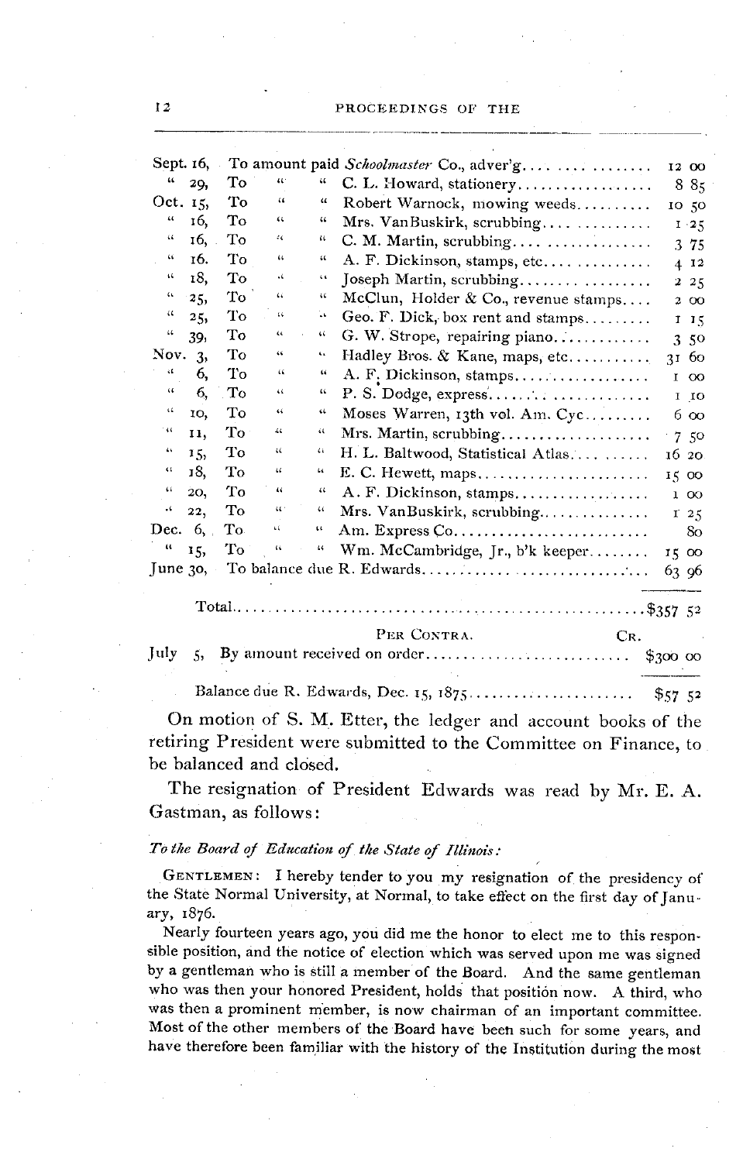|                             |     |     |              |                            | Sept. 16, To amount paid Schoolmaster Co., adver'g | 12 00           |
|-----------------------------|-----|-----|--------------|----------------------------|----------------------------------------------------|-----------------|
| ш                           | 29, | То  | 461          | $\mathcal{U}$              | C. L. Howard, stationery                           | 885             |
| Oct. 15,                    |     | Tо  | $\mathbf{G}$ | "                          | Robert Warnock, mowing weeds                       | 10 50           |
| 46                          | 16. | То  | 44           | 66                         | Mrs. VanBuskirk, scrubbing                         | $1 - 25$        |
| 44                          | 16, | To  | 44           | ш                          | C. M. Martin, scrubbing                            | 3 75            |
| 44                          | 16. | Tо  | $\alpha$     | $\mathfrak{c}\mathfrak{c}$ | A. F. Dickinson, stamps, etc                       | 4 12            |
| $\mathbf{14}$               | 18, | Tо  | 4            | G.                         | Joseph Martin, scrubbing                           | $2^{2}$         |
| $\mathfrak{c}_\mathfrak{t}$ | 25, | Тo  | 44           | œ                          | McClun, Holder & Co., revenue stamps               | 2 00            |
| $\zeta\zeta$                | 25, | Tо  | t¢.          | ЪE.                        | Geo. F. Dick, box rent and stamps                  | 115             |
| 44                          | 39, | Tо  | $\alpha$     | 44                         | G. W. Strope, repairing piano                      | 3.50            |
| Nov.                        | -3, | To  | 46           | ٠.                         | Hadley Bros. & Kane, maps, etc                     | 31 60           |
| ζĹ                          | 6,  | Тo  | 44           | 44                         | A. F. Dickinson, stamps                            | 100             |
| 46                          | 6,  | To  | u            | ٤ś.                        |                                                    | $1$ $10$        |
| $\mathcal{C}_{\mathbf{t}}$  | 10. | Tо  | 44           | 44                         | Moses Warren, 13th vol. Am. Cyc                    | 6 00            |
| $\cdot u$                   | 11, | Tо  | 44           | и                          | Mrs. Martin, scrubbing                             | 7.50            |
| 44                          | 15, | Tо  | u            | 44                         | H. L. Baltwood, Statistical Atlas                  | 16 20           |
| 4¢                          | 18, | Tо  | 66           | 66                         | E. C. Hewett, maps                                 | 15 00           |
| 44                          | 20, | Tо  | ш            | $\ddot{\phantom{0}}$       | A. F. Dickinson, stamps                            | 100             |
| ٠.                          | 22, | To  | $\alpha$     | 44                         | Mrs. VanBuskirk, scrubbing                         | I <sub>25</sub> |
| Dec. $6,$ .                 |     | To. | ٤í.          | ш                          |                                                    | 80              |
| и                           | 15, | Tо  | u            | $\mathfrak{c}$             | Wm. McCambridge, Jr., b'k keeper                   | 15 00           |
| $\lceil$ une 30,            |     |     |              |                            |                                                    | 63 96           |
|                             |     |     |              |                            |                                                    |                 |

PER CONTRA.

CR.

|--|--|--|--|--|

Balance due R. Edwards, Dec. 15, 1875...............  $\mathbf{r}$  $$5752$ 

On motion of S. M. Etter, the ledger and account books of the retiring President were submitted to the Committee on Finance, to be balanced and closed.

The resignation of President Edwards was read by Mr. E. A. Gastman, as follows:

#### To the Board of Education of the State of Illinois:

GENTLEMEN: I hereby tender to you my resignation of the presidency of the State Normal University, at Normal, to take effect on the first day of January, 1876.

Nearly fourteen years ago, you did me the honor to elect me to this responsible position, and the notice of election which was served upon me was signed by a gentleman who is still a member of the Board. And the same gentleman who was then your honored President, holds that position now. A third, who was then a prominent member, is now chairman of an important committee. Most of the other members of the Board have been such for some years, and have therefore been familiar with the history of the Institution during the most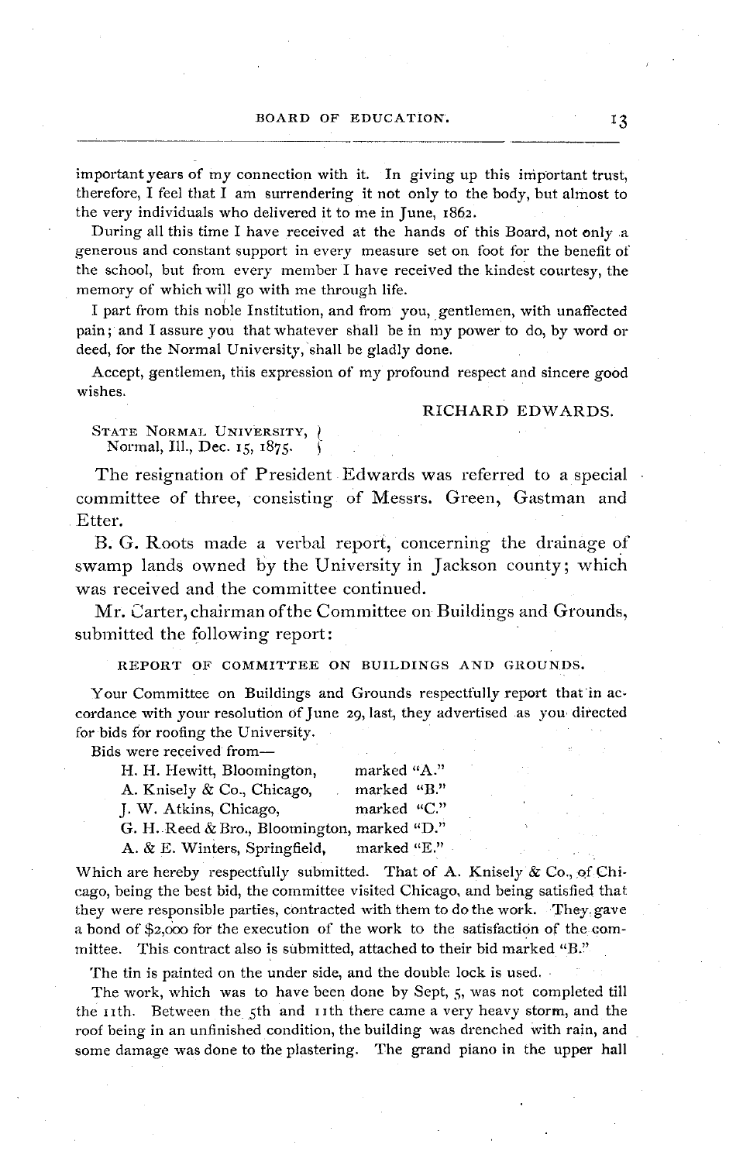important years of my connection with it. In giving up this important trust, therefore, I feel that I am surrendering it not only to the body, but almost to the very individuals who delivered it to me in June, 1862.

During all this time I have received at the hands of this Board, not only a generous and constant support in every measure set on foot for the benefit of the school, but from every member I have received the kindest courtesy, the memory of which will go with me through life.

I part from this noble Institution, and from you, gentlemen, with unaffected pain; and I assure you that whatever shall be in my power to do, by word or deed, for the Normal University, shall be gladly done.

Accept, gentlemen, this expression of my profound respect and sincere good wishes.

## RICHARD EDWARDS.

STATE NORMAL UNIVERSITY, ) Normal, Ill., Dec. 15, I875.

The resignation of President Edwards was referred to a special committee of three, consisting of Messrs. Green, Gastman and Etter.

B. G. Roots made a verbal report, concerning the drainage of swamp lands owned by the University in Jackson county; which was received and the committee continued.

Mr. Carter, chairman of the Committee on Buildings and Grounds, submitted the following report:

REPORT OF COMMITTEE ON BUILDINGS AND GROUNDS.

Your Committee on Buildings and Grounds respectfully report that in accordance with your resolution of June 29, last, they advertised as you directed for bids for roofing the University.

Bids were received from-

| H. H. Hewitt, Bloomington,                  | marked "A." |  |
|---------------------------------------------|-------------|--|
| A. Knisely & Co., Chicago,                  | marked "B." |  |
| J. W. Atkins, Chicago,                      | marked "C." |  |
| G. H. Reed & Bro., Bloomington, marked "D." |             |  |
| A. & E. Winters, Springfield,               | marked "E." |  |

Which are hereby respectfully submitted. That of A. Knisely  $\&$  Co., of Chicago, being the best bid, the committee visited Chicago, and being satisfied that they were responsible parties, contracted with them to do the work. They gave a bond of \$2,oo0 for the execution of the work to the satisfaction of the committee. This contract also is submitted, attached to their bid marked "B."

The tin is painted on the under side, and the double lock is used.

The work, which was to have been done by Sept, 5, was not completed till the IIth. Between the 5th and Iith there came a very heavy storm, and the roof being in an unfinished condition, the building was drenched with rain, and some damage was done to the plastering. The grand piano in the upper hall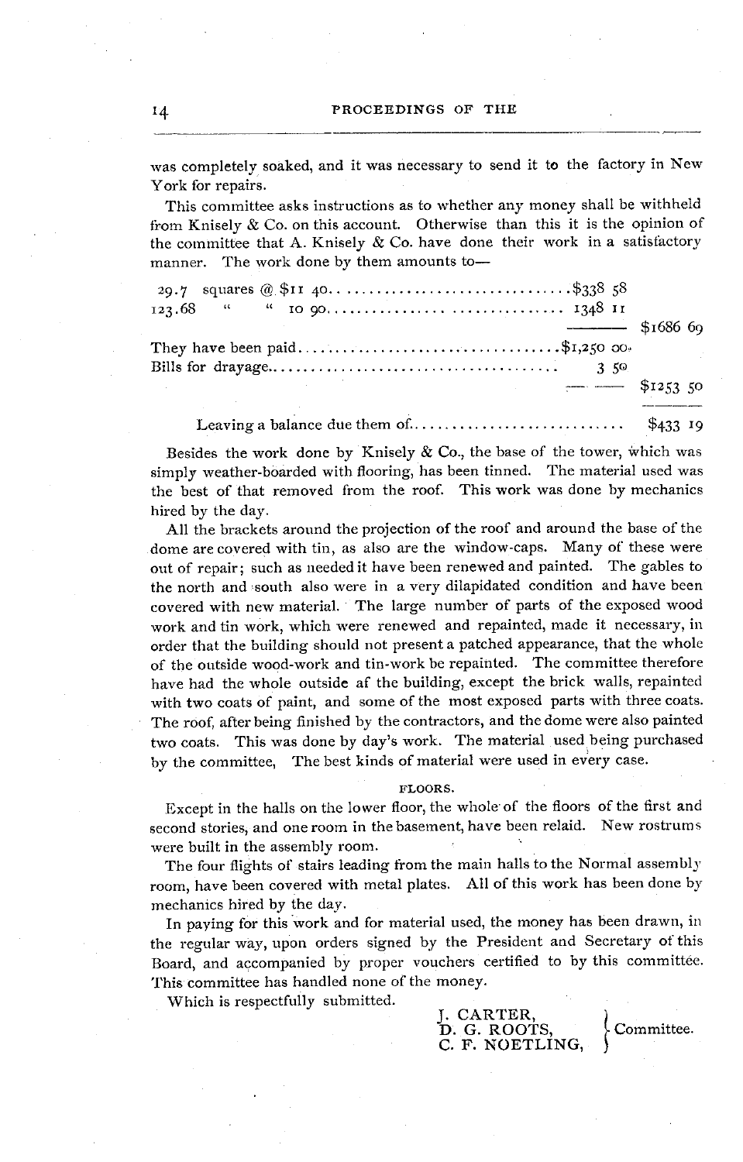was completely soaked, and it was necessary to send it to the factory in New York for repairs.

This committee asks instructions as to whether any money shall be withheld from Knisely & Co. on this account. Otherwise than this it is the opinion of the committee that A. Knisely  $\&$  Co. have done their work in a satisfactory manner. The work done by them amounts to-

|                                | $-$ \$1686 60           |  |  |
|--------------------------------|-------------------------|--|--|
| They have been paid\$1,250 00. |                         |  |  |
|                                | $\frac{1}{2}$ \$1253.50 |  |  |
|                                |                         |  |  |

Besides the work done by Knisely  $\&$  Co., the base of the tower, which was simply weather-boarded with flooring, has been tinned. The material used was the best of that removed from the roof. This work was done by mechanics hired by the day.

All the brackets around the projection of the roof and around the base of the dome are covered with tin, as also are the window-caps. Many of these were out of repair; such as needed it have been renewed and painted. The gables to the north and south also were in a very dilapidated condition and have been covered with new material. The large number of parts of the exposed wood work and tin work, which were renewed and repainted, made it necessary, in order that the building should not present a patched appearance, that the whole of the outside wood-work and tin-work be repainted. The committee therefore have had the whole outside af the building, except the brick walls, repainted with two coats of paint, and some of the most exposed parts with three coats. The roof, after being finished by the contractors, and the dome were also painted two coats. This was done by day's work. The material used being purchased by the committee, The best kinds of material were used in every case.

#### FLOORS.

Except in the halls on the lower floor, the whole of the floors of the first and second stories, and one room in the basement, have been relaid. New rostrums were built in the assembly room.

The four flights of stairs leading from the main halls to the Normal assembly room, have been covered with metal plates. All of this work has been done by mechanics hired by the day.

In paying for this work and for material used, the money has been drawn, in the regular way, upon orders signed by the President and Secretary of this Board, and accompanied by proper vouchers certified to by this committee. This committee has handled none of the money.

Which is respectfully submitted.

| J. CARTER,      |  |
|-----------------|--|
| D. G. ROOTS,    |  |
| C. F. NOETLING. |  |

I4

Committee.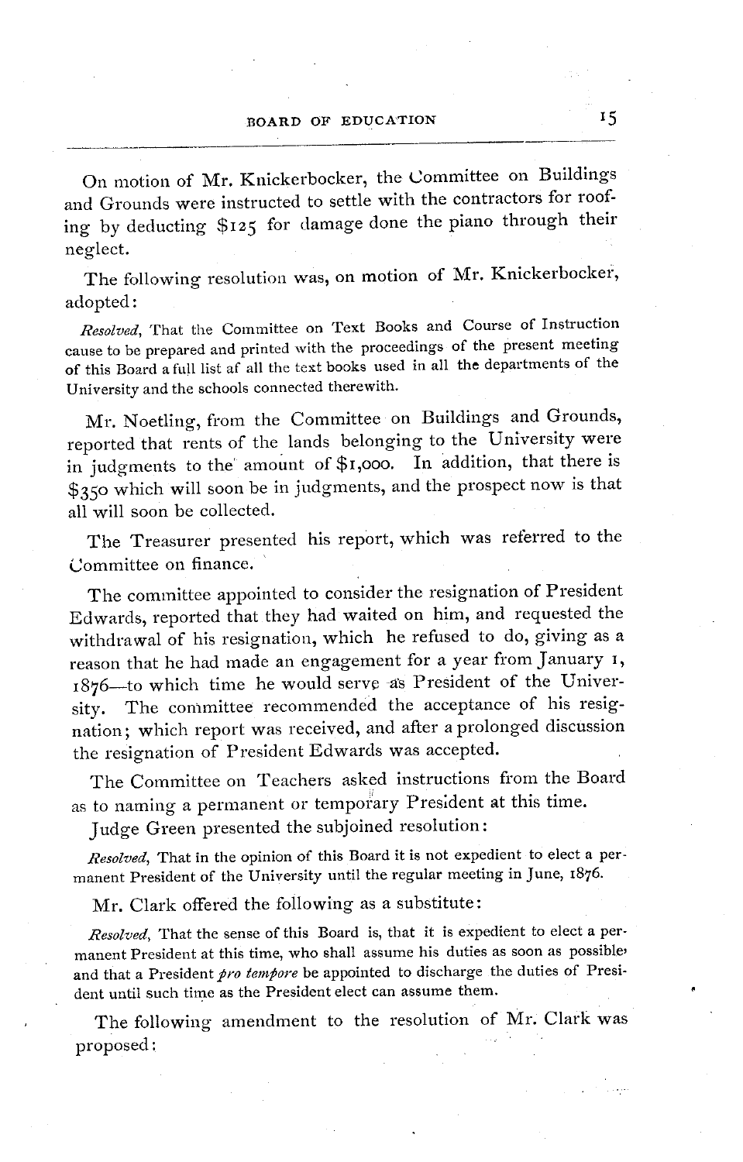On motion of Mr. Knickerbocker, the Committee on Buildings and Grounds were instructed to settle with the contractors for roofing by deducting \$I25 for damage done the piano through their neglect.

The following resolution was, on motion of Mr. Knickerbocker, adopted:

*Resolved,* That the Committee on Text Books and Course of Instruction cause to be prepared and printed with the proceedings of the present meeting of this Board a full list af all the text books used in all the departments of the University and the schools connected therewith.

Mr. Noetling, from the Committee on Buildings and Grounds, reported that rents of the lands belonging to the University were in judgments to the' amount of **\$I,ooo.** In addition, that there is \$350 which will soon be in judgments, and the prospect now is that all will soon be collected.

The Treasurer presented his report, which was referred to the Committee on finance.

The committee appointed to consider the resignation of President Edwards, reported that they had waited on him, and requested the withdrawal of his resignation, which he refused to do, giving as a reason that he had made an engagement for a year from January I, 1876-to which time he would serve -as President of the University. The committee recommended the acceptance of his resignation; which report was received, and after a prolonged discussion the resignation of President Edwards was accepted.

The Committee on Teachers asked instructions from the Board as to naming a permanent or temporary President at this time.

Judge Green presented the subjoined resolution:

*Resolved,* That in the opinion of this Board it is not expedient to elect a permanent President of the University until the regular meeting in June, I876.

Mr. Clark offered the following as a substitute:

*Resolved,* That the sense of this Board is, that it is expedient to elect a permanent President at this time, who shall assume his duties as soon as possible' and that a President *pro tempore* be appointed to discharge the duties of President until such time as the President elect can assume them.

The following amendment to the resolution of Mr. Clark was proposed: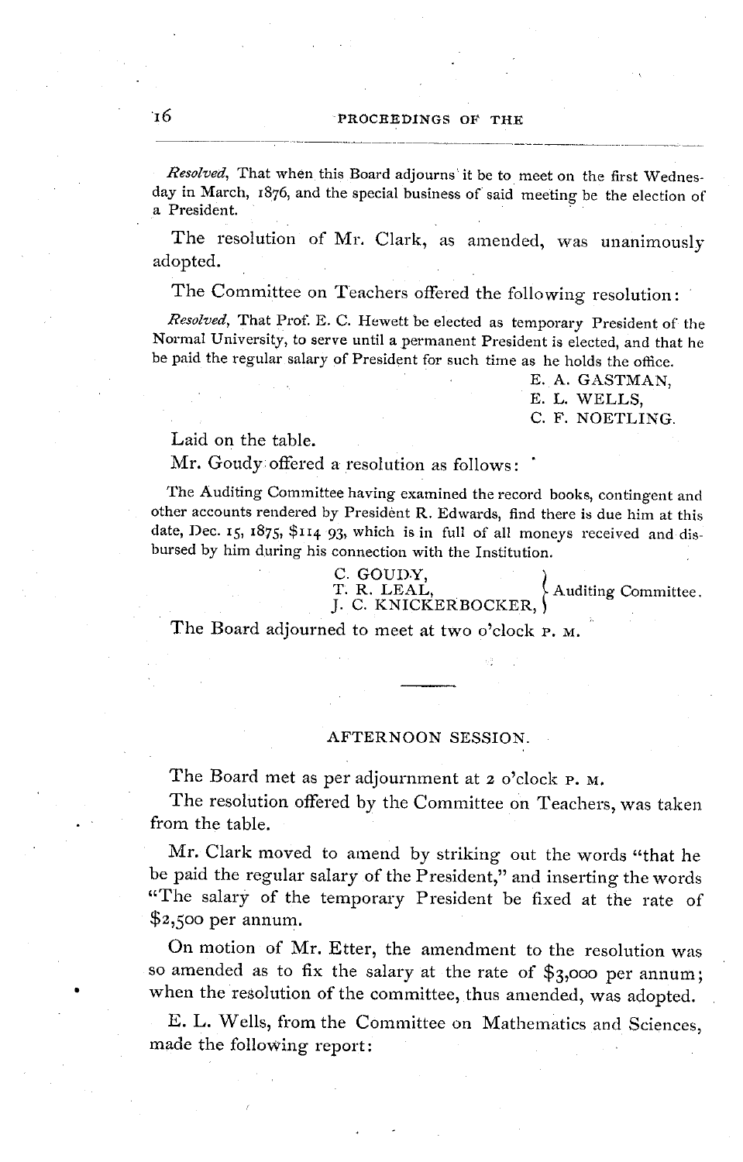*Resolved,* That when this Board adjourns it be to meet on the first Wednesday in March, 1876, and the special business of said meeting be the election of a President.

The resolution of Mr. Clark, as amended, was unanimously adopted.

The Committee on Teachers offered the following resolution:

*Resolved,* That Prof. E. C. Hewett be elected as temporary President of the Normal University, to serve until a permanent President is elected, and that he be paid the regular salary of President for such time as he holds the office.

> E. A. GASTMAN, E. L. WELLS, C. F. NOETLING.

## Laid on the table.

Mr. Goudy offered a resolution as follows:

The Auditing Committee having examined the record books, contingent and other accounts rendered by President R. Edwards, find there is due him at this date, Dec. 15, I875, \$II4 93, which is in full of all moneys received and disbursed by him during his connection with the Institution.

C. GOUDY,<br>T. R. LEAL,<br>J. C. KNICKERBOCKER, Auditing Committee

The Board adjourned to meet at two o'clock P. M.

## AFTERNOON SESSION.

The Board met as per adjournment at 2 o'clock P. M.

The resolution offered by the Committee on Teachers, was taken from the table.

Mr. Clark moved to amend by striking out the words "that he be paid the regular salary of the President," and inserting the words "The salary of the temporary President be fixed at the rate of \$2,500 per annum.

On motion of Mr. Etter, the amendment to the resolution was so amended as to fix the salary at the rate of \$3,000 per annum; when the resolution of the committee, thus amended, was adopted.

E. L. Wells, from the Committee on Mathematics and Sciences, made the following report: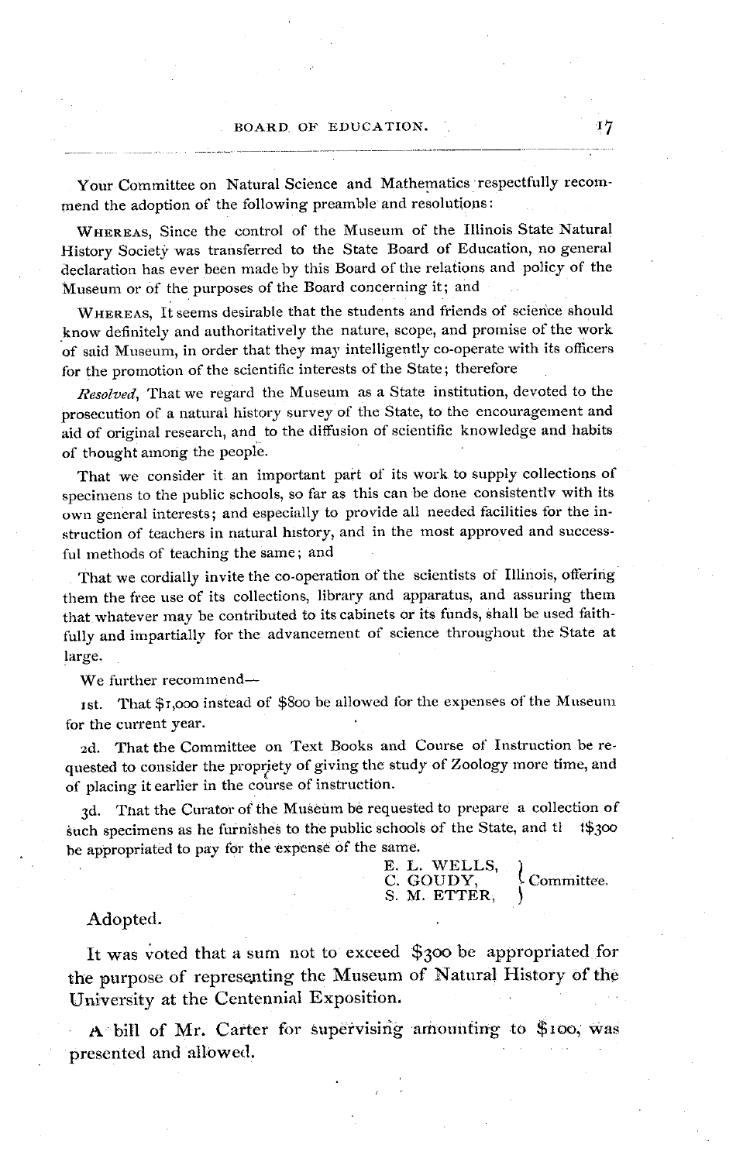Your Committee on Natural Science and Mathematics respectfully recommend the adoption of the following preamble and resolutions:

WHEREAS, Since the control of the Museum of the Illinois State Natural History Society was transferred to the State Board of Education, no general declaration has ever been made by this Board of the relations and policy of the Museum or of the purposes of the Board concerning it; and

WHEREAS, It seems desirable that the students and friends of science should know definitely and authoritatively the nature, scope, and promise of the work of said Museum, in order that they may intelligently co-operate with its officers for the promotion of the scientific interests of the State; therefore

*Resolved,* That we regard the Museum as a State institution, devoted to the prosecution of a natural history survey of the State, to the encouragement and aid of original research, and to the diffusion of scientific knowledge and habits of thought among the people.

That we consider it an important part of its work to supply collections of specimens to the public schools, so far as this can be done consistently with its own general interests; and especially to provide all needed facilities for the instruction of teachers in natural history, and in the most approved and successful methods of teaching the same; and

That we cordially invite the co-operation of the scientists of Illinois, offering them the free use of its collections, library and apparatus, and assuring them that whatever may be contributed to its cabinets or its funds, shall be used faithfully and impartially for the advancement of science throughout the State at large.

We further recommend-

ist. That \$i,ooo instead of \$800 be allowed for the expenses of the Museum for the current year.

2d. That the Committee on Text Books and Course of Instruction be requested to consider the propriety of giving the study of Zoology more time, and of placing it earlier in the course of instruction.

3d. That the Curator of the Museum be requested to prepare a collection of the specimens as he furnishes to the public schools of the State, and the 1\$300 such specimens as he furnishes to the public schools of the State, and the be appropriated to pay for the expense of the same.

E. L. WELLS,<br>C. GOUDY,  $\mathcal{L}_{\text{Committee}}$ . S. M. ETTER,

Adopted.

It was voted that a sum not to exceed \$300 be appropriated for the purpose of representing the Museum of Natural History of the University at the Centennial Exposition.

A bill of Mr. Carter for supervising amounting to \$ioo, was presented and allowed.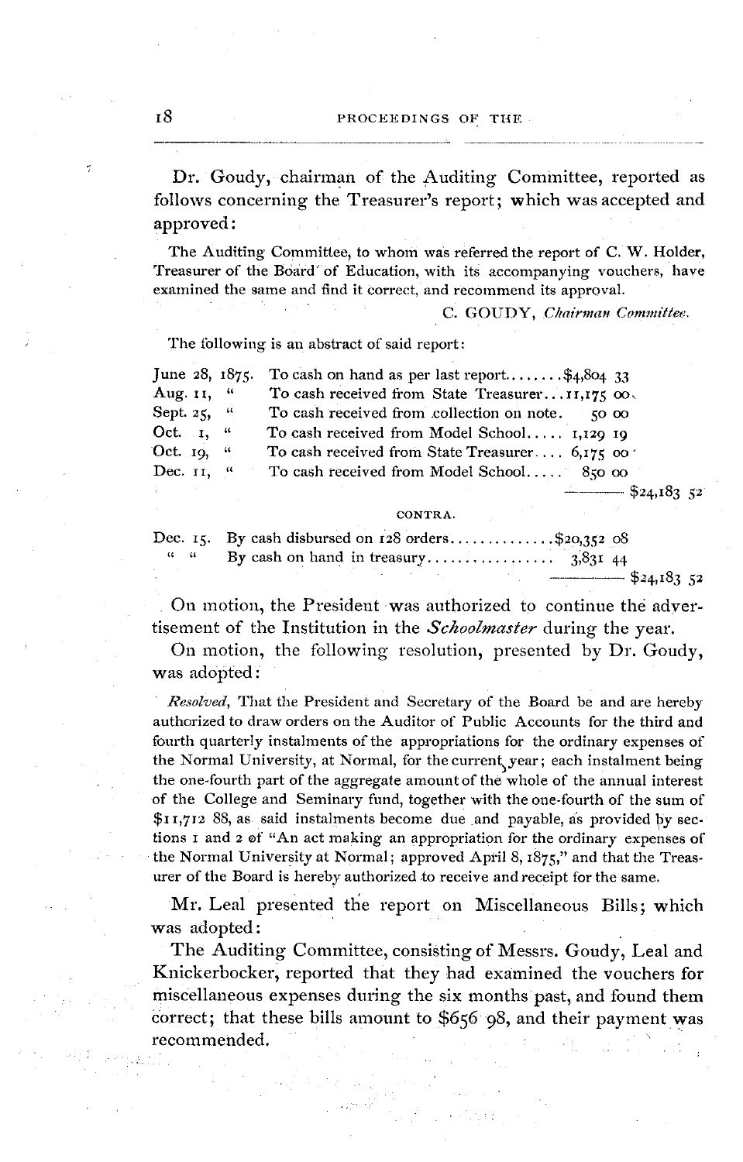Dr. Goudy, chairman of the Auditing Committee, reported as follows concerning the Treasurer's report; which was accepted and approved:

The Auditing Committee, to whom was referred the report of C. W. Holder, Treasurer of the Board of Education, with its accompanying vouchers, have examined the same and find it correct, and recommend its approval.

C. GOUDY, *Chairman Commiltee.*

The following is an abstract of said report:

| June $28, 1875$ .             | To cash on hand as per last report $\frac{4,804}{33}$ |
|-------------------------------|-------------------------------------------------------|
| Aug. 11, "                    | To cash received from State Treasurer11,175 00.       |
| Sept. 25, $\frac{1}{2}$       | To cash received from collection on note.<br>50. OO   |
| Oct. $\mathbf{r}, \mathbf{u}$ | To cash received from Model School 1,129 19           |
| Oct. $19,$ "                  | To cash received from State Treasurer, $6.175$ co.    |
| Dec. 11. "                    | To cash received from Model School 850 00             |
|                               | $-$ \$24,183 52                                       |

CONTRA.

|                   | Dec. 15. By cash disbursed on $128$ orders\$20,352 08 |                 |
|-------------------|-------------------------------------------------------|-----------------|
| $\alpha$ $\alpha$ |                                                       |                 |
|                   |                                                       | $-$ \$24,183 52 |

On motion, the President was authorized to continue the advertisement of the Institution in the *Schoolmaster* during the year.

On motion, the following resolution, presented by Dr. Goudy, was adopted:

*Resolved,* That the President and Secretary of the Board be and are hereby authorized to draw orders on the Auditor of Public Accounts for the third and fourth quarterly instalments of the appropriations for the ordinary expenses of the Normal University, at Normal, for the current year; each instalment being the one-fourth part of the aggregate amount of the whole of the annual interest of the College and Seminary fund, together with the one-fourth of the sum of **\$I** I,712 88, as said instalments become due and payable, as provided by sections i and 2 of "An act making an appropriation for the ordinary expenses of the Normal University at Normal; approved April 8, I875," and that the Treasurer of the Board is hereby authorized to receive and receipt for the same.

Mr. Leal presented the report on Miscellaneous Bills; which was adopted:

The Auditing Committee, consisting of Messrs. Goudy, Leal and Knickerbocker, reported that they had examined the vouchers for miscellaneous expenses during the six months past, and found them correct; that these bills amount to \$656 98, and their payment was recommended.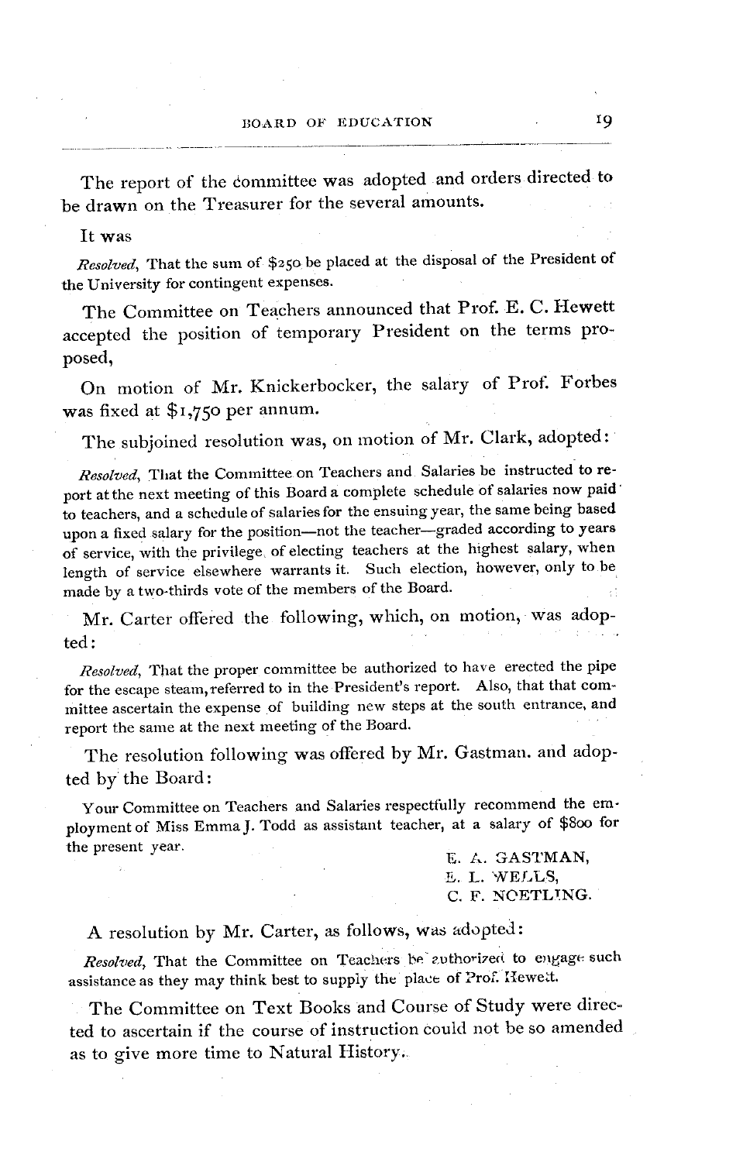The report of the dommittee was adopted and orders directed to be drawn on the Treasurer for the several amounts.

## It was

*Resolved,* That the sum of \$250 be placed at the disposal of the President of the University for contingent expenses.

The Committee on Teachers announced that Prof. E. C. Hewett accepted the position of temporary President on the terms proposed,

On motion of Mr. Knickerbocker, the salary of Prof: Forbes was fixed at \$1,75o per annum.

The subjoined resolution was, on motion of Mr. Clark, adopted:

*Resolved,* That the Committee on Teachers and Salaries be instructed to report at the next meeting of this Board a complete schedule of salaries now paid to teachers, and a schedule of salaries for the ensuing year, the same being based upon a fixed salary for the position-not the teacher-graded according to years of service, with the privilege, of electing teachers at the highest salary, when length of service elsewhere warrants it. Such election, however, only to be made by a two-thirds vote of the members of the Board.

Mr. Carter offered the following, which, on motion, was adopted:

*Resolved,* That the proper committee be authorized to have erected the pipe for the escape steam, referred to in the President's report. Also, that that committee ascertain the expense of building new steps at the south entrance, and report the same at the next meeting of the Board.

The resolution following was offered by Mr. Gastman. and adopted by the Board:

Your Committee on Teachers and Salaries respectfully recommend the employment of Miss EmmaJ. Todd as assistant teacher, at a salary of \$80o for the present year.  $E. A. GASTMAN$ ,

E. L. WELLS, C. F. NOETLTNG.

## A resolution by Mr. Carter, as follows, was adopted:

*Resolved*, That the Committee on Teachers be authorized to engage such assistance as they may think best to supply the place of Prof. llewett.

The Committee on Text Books and Course of Study were directed to ascertain if the course of instruction could not be so amended as to give more time to Natural History.: